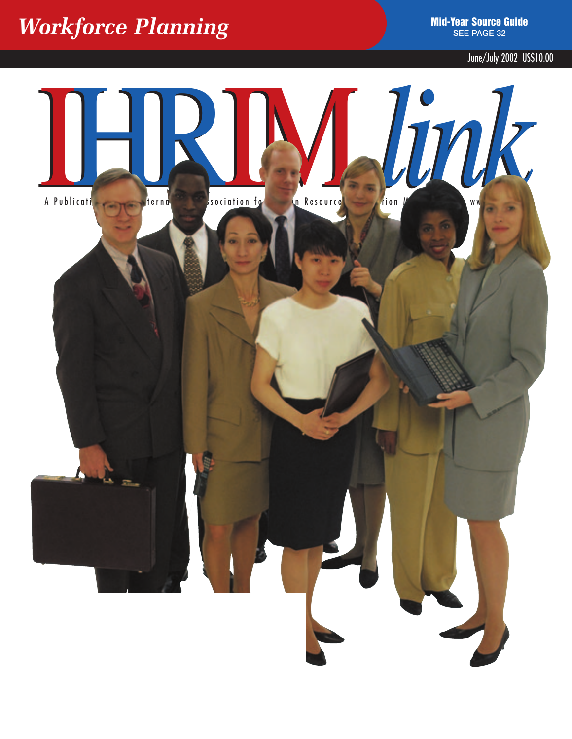### *Morkforce Planning* **See Planning See PAGE 32**

June/July 2002 US\$10.00

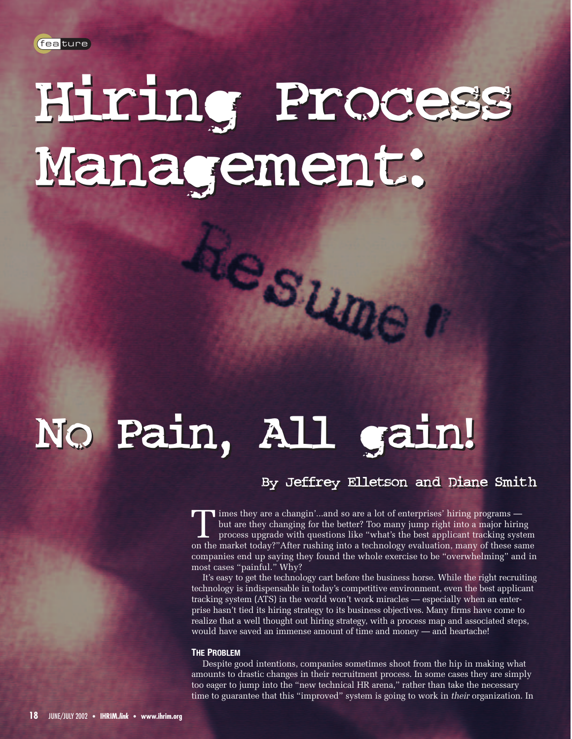# Hiring Process Hiring Process Management: Management:

## No Pain, All gain! No Pain, All gain!

#### By Jeffrey Elletson and Diane Smith By Jeffrey Elletson and Diane Smith

T imes they are a changin'...and so are a lot of enterprises' hiring programs but are they changing for the better? Too many jump right into a major hiring process upgrade with questions like "what's the best applicant tracking system on the market today?"After rushing into a technology evaluation, many of these same companies end up saying they found the whole exercise to be "overwhelming" and in most cases "painful." Why?

Lesuner

It's easy to get the technology cart before the business horse. While the right recruiting technology is indispensable in today's competitive environment, even the best applicant tracking system (ATS) in the world won't work miracles — especially when an enterprise hasn't tied its hiring strategy to its business objectives. Many firms have come to realize that a well thought out hiring strategy, with a process map and associated steps, would have saved an immense amount of time and money — and heartache!

#### **THE PROBLEM**

Despite good intentions, companies sometimes shoot from the hip in making what amounts to drastic changes in their recruitment process. In some cases they are simply too eager to jump into the "new technical HR arena," rather than take the necessary time to guarantee that this "improved" system is going to work in *their* organization. In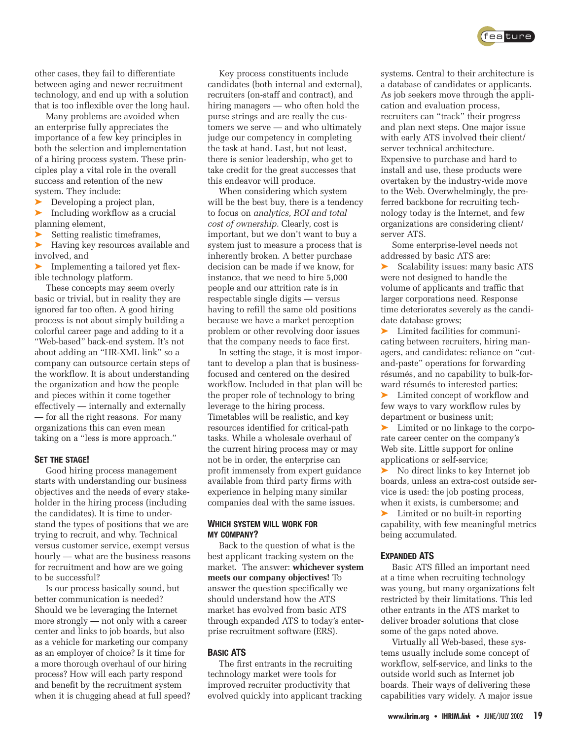

other cases, they fail to differentiate between aging and newer recruitment technology, and end up with a solution that is too inflexible over the long haul.

Many problems are avoided when an enterprise fully appreciates the importance of a few key principles in both the selection and implementation of a hiring process system. These principles play a vital role in the overall success and retention of the new system. They include:

➤ Developing a project plan,

➤ Including workflow as a crucial planning element,

Setting realistic timeframes,

➤ Having key resources available and involved, and

➤ Implementing a tailored yet flexible technology platform.

These concepts may seem overly basic or trivial, but in reality they are ignored far too often. A good hiring process is not about simply building a colorful career page and adding to it a "Web-based" back-end system. It's not about adding an "HR-XML link" so a company can outsource certain steps of the workflow. It is about understanding the organization and how the people and pieces within it come together effectively — internally and externally — for all the right reasons. For many organizations this can even mean taking on a "less is more approach."

#### **SET THE STAGE!**

Good hiring process management starts with understanding our business objectives and the needs of every stakeholder in the hiring process (including the candidates). It is time to understand the types of positions that we are trying to recruit, and why. Technical versus customer service, exempt versus hourly — what are the business reasons for recruitment and how are we going to be successful?

Is our process basically sound, but better communication is needed? Should we be leveraging the Internet more strongly — not only with a career center and links to job boards, but also as a vehicle for marketing our company as an employer of choice? Is it time for a more thorough overhaul of our hiring process? How will each party respond and benefit by the recruitment system when it is chugging ahead at full speed?

Key process constituents include candidates (both internal and external), recruiters (on-staff and contract), and hiring managers — who often hold the purse strings and are really the customers we serve — and who ultimately judge our competency in completing the task at hand. Last, but not least, there is senior leadership, who get to take credit for the great successes that this endeavor will produce.

When considering which system will be the best buy, there is a tendency to focus on *analytics, ROI and total cost of ownership*. Clearly, cost is important, but we don't want to buy a system just to measure a process that is inherently broken. A better purchase decision can be made if we know, for instance, that we need to hire 5,000 people and our attrition rate is in respectable single digits — versus having to refill the same old positions because we have a market perception problem or other revolving door issues that the company needs to face first.

In setting the stage, it is most important to develop a plan that is businessfocused and centered on the desired workflow. Included in that plan will be the proper role of technology to bring leverage to the hiring process. Timetables will be realistic, and key resources identified for critical-path tasks. While a wholesale overhaul of the current hiring process may or may not be in order, the enterprise can profit immensely from expert guidance available from third party firms with experience in helping many similar companies deal with the same issues.

#### **WHICH SYSTEM WILL WORK FOR MY COMPANY?**

Back to the question of what is the best applicant tracking system on the market. The answer: **whichever system meets our company objectives!** To answer the question specifically we should understand how the ATS market has evolved from basic ATS through expanded ATS to today's enterprise recruitment software (ERS).

#### **BASIC ATS**

The first entrants in the recruiting technology market were tools for improved recruiter productivity that evolved quickly into applicant tracking

systems. Central to their architecture is a database of candidates or applicants. As job seekers move through the application and evaluation process, recruiters can "track" their progress and plan next steps. One major issue with early ATS involved their client/ server technical architecture. Expensive to purchase and hard to install and use, these products were overtaken by the industry-wide move to the Web. Overwhelmingly, the preferred backbone for recruiting technology today is the Internet, and few organizations are considering client/ server ATS.

Some enterprise-level needs not addressed by basic ATS are:

Scalability issues: many basic ATS were not designed to handle the volume of applicants and traffic that larger corporations need. Response time deteriorates severely as the candidate database grows;

➤ Limited facilities for communicating between recruiters, hiring managers, and candidates: reliance on "cutand-paste" operations for forwarding résumés, and no capability to bulk-forward résumés to interested parties;

➤ Limited concept of workflow and few ways to vary workflow rules by department or business unit;

➤ Limited or no linkage to the corporate career center on the company's Web site. Little support for online applications or self-service;

➤ No direct links to key Internet job boards, unless an extra-cost outside service is used: the job posting process, when it exists, is cumbersome; and

➤ Limited or no built-in reporting capability, with few meaningful metrics being accumulated.

#### **EXPANDED ATS**

Basic ATS filled an important need at a time when recruiting technology was young, but many organizations felt restricted by their limitations. This led other entrants in the ATS market to deliver broader solutions that close some of the gaps noted above.

Virtually all Web-based, these systems usually include some concept of workflow, self-service, and links to the outside world such as Internet job boards. Their ways of delivering these capabilities vary widely. A major issue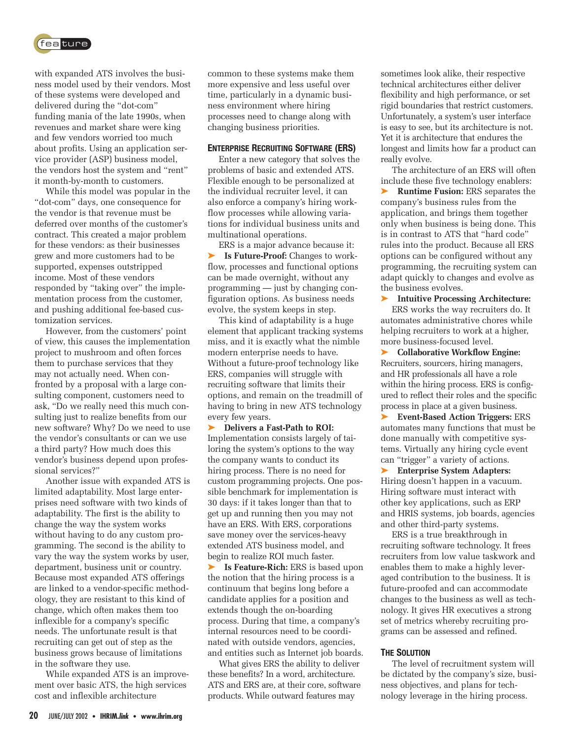

with expanded ATS involves the business model used by their vendors. Most of these systems were developed and delivered during the "dot-com" funding mania of the late 1990s, when revenues and market share were king and few vendors worried too much about profits. Using an application service provider (ASP) business model, the vendors host the system and "rent" it month-by-month to customers.

While this model was popular in the "dot-com" days, one consequence for the vendor is that revenue must be deferred over months of the customer's contract. This created a major problem for these vendors: as their businesses grew and more customers had to be supported, expenses outstripped income. Most of these vendors responded by "taking over" the implementation process from the customer, and pushing additional fee-based customization services.

However, from the customers' point of view, this causes the implementation project to mushroom and often forces them to purchase services that they may not actually need. When confronted by a proposal with a large consulting component, customers need to ask, "Do we really need this much consulting just to realize benefits from our new software? Why? Do we need to use the vendor's consultants or can we use a third party? How much does this vendor's business depend upon professional services?"

Another issue with expanded ATS is limited adaptability. Most large enterprises need software with two kinds of adaptability. The first is the ability to change the way the system works without having to do any custom programming. The second is the ability to vary the way the system works by user, department, business unit or country. Because most expanded ATS offerings are linked to a vendor-specific methodology, they are resistant to this kind of change, which often makes them too inflexible for a company's specific needs. The unfortunate result is that recruiting can get out of step as the business grows because of limitations in the software they use.

While expanded ATS is an improvement over basic ATS, the high services cost and inflexible architecture

common to these systems make them more expensive and less useful over time, particularly in a dynamic business environment where hiring processes need to change along with changing business priorities.

#### **ENTERPRISE RECRUITING SOFTWARE (ERS)**

Enter a new category that solves the problems of basic and extended ATS. Flexible enough to be personalized at the individual recruiter level, it can also enforce a company's hiring workflow processes while allowing variations for individual business units and multinational operations.

ERS is a major advance because it: ➤ **Is Future-Proof:** Changes to workflow, processes and functional options can be made overnight, without any programming — just by changing configuration options. As business needs evolve, the system keeps in step.

This kind of adaptability is a huge element that applicant tracking systems miss, and it is exactly what the nimble modern enterprise needs to have. Without a future-proof technology like ERS, companies will struggle with recruiting software that limits their options, and remain on the treadmill of having to bring in new ATS technology every few years.

➤ **Delivers a Fast-Path to ROI:** Implementation consists largely of tailoring the system's options to the way the company wants to conduct its hiring process. There is no need for custom programming projects. One possible benchmark for implementation is 30 days: if it takes longer than that to get up and running then you may not have an ERS. With ERS, corporations save money over the services-heavy extended ATS business model, and begin to realize ROI much faster.

➤ **Is Feature-Rich:** ERS is based upon the notion that the hiring process is a continuum that begins long before a candidate applies for a position and extends though the on-boarding process. During that time, a company's internal resources need to be coordinated with outside vendors, agencies, and entities such as Internet job boards.

What gives ERS the ability to deliver these benefits? In a word, architecture. ATS and ERS are, at their core, software products. While outward features may

sometimes look alike, their respective technical architectures either deliver flexibility and high performance, or set rigid boundaries that restrict customers. Unfortunately, a system's user interface is easy to see, but its architecture is not. Yet it is architecture that endures the longest and limits how far a product can really evolve.

The architecture of an ERS will often include these five technology enablers:

➤ **Runtime Fusion:** ERS separates the company's business rules from the application, and brings them together only when business is being done. This is in contrast to ATS that "hard code" rules into the product. Because all ERS options can be configured without any programming, the recruiting system can adapt quickly to changes and evolve as the business evolves.

➤ **Intuitive Processing Architecture:** 

ERS works the way recruiters do. It automates administrative chores while helping recruiters to work at a higher, more business-focused level.

➤ **Collaborative Workflow Engine:** Recruiters, sourcers, hiring managers, and HR professionals all have a role within the hiring process. ERS is configured to reflect their roles and the specific process in place at a given business.

➤ **Event-Based Action Triggers:** ERS automates many functions that must be done manually with competitive systems. Virtually any hiring cycle event can "trigger" a variety of actions.

➤ **Enterprise System Adapters:** Hiring doesn't happen in a vacuum. Hiring software must interact with other key applications, such as ERP and HRIS systems, job boards, agencies and other third-party systems.

ERS is a true breakthrough in recruiting software technology. It frees recruiters from low value taskwork and enables them to make a highly leveraged contribution to the business. It is future-proofed and can accommodate changes to the business as well as technology. It gives HR executives a strong set of metrics whereby recruiting programs can be assessed and refined.

#### **THE SOLUTION**

The level of recruitment system will be dictated by the company's size, business objectives, and plans for technology leverage in the hiring process.